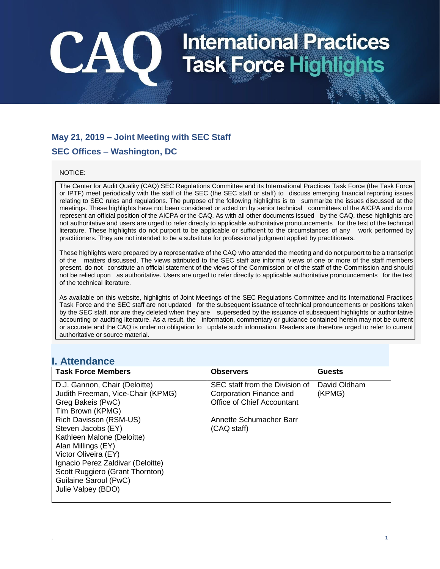### **May 21, 2019 – Joint Meeting with SEC Staff**

### **SEC Offices – Washington, DC**

CAO

#### NOTICE:

The Center for Audit Quality (CAQ) SEC Regulations Committee and its International Practices Task Force (the Task Force or IPTF) meet periodically with the staff of the SEC (the SEC staff or staff) to discuss emerging financial reporting issues relating to SEC rules and regulations. The purpose of the following highlights is to summarize the issues discussed at the meetings. These highlights have not been considered or acted on by senior technical committees of the AICPA and do not represent an official position of the AICPA or the CAQ. As with all other documents issued by the CAQ, these highlights are not authoritative and users are urged to refer directly to applicable authoritative pronouncements for the text of the technical literature. These highlights do not purport to be applicable or sufficient to the circumstances of any work performed by practitioners. They are not intended to be a substitute for professional judgment applied by practitioners.

These highlights were prepared by a representative of the CAQ who attended the meeting and do not purport to be a transcript of the matters discussed. The views attributed to the SEC staff are informal views of one or more of the staff members present, do not constitute an official statement of the views of the Commission or of the staff of the Commission and should not be relied upon as authoritative. Users are urged to refer directly to applicable authoritative pronouncements for the text of the technical literature.

As available on this website, highlights of Joint Meetings of the SEC Regulations Committee and its International Practices Task Force and the SEC staff are not updated for the subsequent issuance of technical pronouncements or positions taken by the SEC staff, nor are they deleted when they are superseded by the issuance of subsequent highlights or authoritative accounting or auditing literature. As a result, the information, commentary or guidance contained herein may not be current or accurate and the CAQ is under no obligation to update such information. Readers are therefore urged to refer to current authoritative or source material.

### **I. Attendance**

| <b>Task Force Members</b>                                            | <b>Observers</b>                                          | <b>Guests</b>          |
|----------------------------------------------------------------------|-----------------------------------------------------------|------------------------|
| D.J. Gannon, Chair (Deloitte)<br>Judith Freeman, Vice-Chair (KPMG)   | SEC staff from the Division of<br>Corporation Finance and | David Oldham<br>(KPMG) |
| Greg Bakeis (PwC)                                                    | Office of Chief Accountant                                |                        |
| Tim Brown (KPMG)                                                     |                                                           |                        |
| Rich Davisson (RSM-US)<br>Steven Jacobs (EY)                         | Annette Schumacher Barr<br>(CAQ staff)                    |                        |
| Kathleen Malone (Deloitte)                                           |                                                           |                        |
| Alan Millings (EY)                                                   |                                                           |                        |
| Victor Oliveira (EY)                                                 |                                                           |                        |
| Ignacio Perez Zaldivar (Deloitte)<br>Scott Ruggiero (Grant Thornton) |                                                           |                        |
| Guilaine Saroul (PwC)                                                |                                                           |                        |
| Julie Valpey (BDO)                                                   |                                                           |                        |
|                                                                      |                                                           |                        |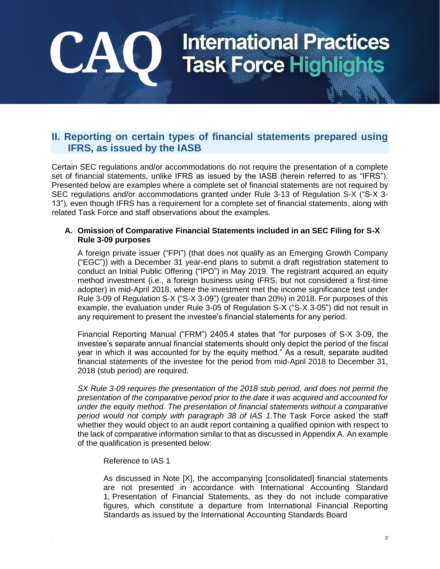### **II. Reporting on certain types of financial statements prepared using IFRS, as issued by the IASB**

Certain SEC regulations and/or accommodations do not require the presentation of a complete set of financial statements, unlike IFRS as issued by the IASB (herein referred to as "IFRS"). Presented below are examples where a complete set of financial statements are not required by SEC regulations and/or accommodations granted under Rule 3-13 of Regulation S-X ("S-X 3- 13"), even though IFRS has a requirement for a complete set of financial statements, along with related Task Force and staff observations about the examples.

#### **A. Omission of Comparative Financial Statements included in an SEC Filing for S-X Rule 3-09 purposes**

A foreign private issuer ("FPI") (that does not qualify as an Emerging Growth Company ("EGC")) with a December 31 year-end plans to submit a draft registration statement to conduct an Initial Public Offering ("IPO") in May 2019. The registrant acquired an equity method investment (i.e., a foreign business using IFRS, but not considered a first-time adopter) in mid-April 2018, where the investment met the income significance test under Rule 3-09 of Regulation S-X ("S-X 3-09") (greater than 20%) in 2018. For purposes of this example, the evaluation under Rule 3-05 of Regulation S-X ("S-X 3-05") did not result in any requirement to present the investee's financial statements for any period.

Financial Reporting Manual ("FRM") 2405.4 states that "for purposes of S-X 3-09, the investee's separate annual financial statements should only depict the period of the fiscal year in which it was accounted for by the equity method." As a result, separate audited financial statements of the investee for the period from mid-April 2018 to December 31, 2018 (stub period) are required.

*SX Rule 3-09 requires the presentation of the 2018 stub period, and does not permit the presentation of the comparative period prior to the date it was acquired and accounted for under the equity method. The presentation of financial statements without a comparative period would not comply with paragraph 38 of IAS 1.*The Task Force asked the staff whether they would object to an audit report containing a qualified opinion with respect to the lack of comparative information similar to that as discussed in Appendix A. An example of the qualification is presented below:

Reference to IAS 1

CA

As discussed in Note [X], the accompanying [consolidated] financial statements are not presented in accordance with International Accounting Standard 1, Presentation of Financial Statements, as they do not include comparative figures, which constitute a departure from International Financial Reporting Standards as issued by the International Accounting Standards Board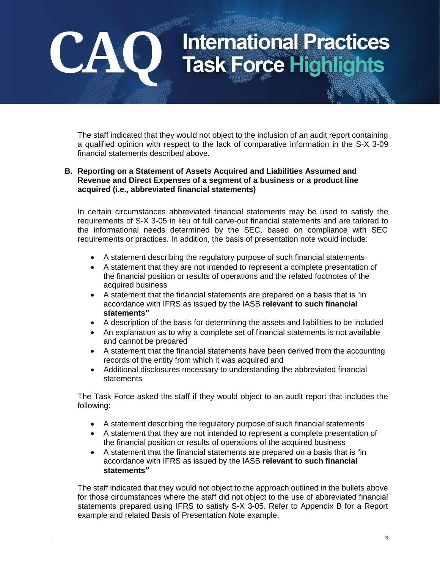The staff indicated that they would not object to the inclusion of an audit report containing a qualified opinion with respect to the lack of comparative information in the S-X 3-09 financial statements described above.

#### **B. Reporting on a Statement of Assets Acquired and Liabilities Assumed and Revenue and Direct Expenses of a segment of a business or a product line acquired (i.e., abbreviated financial statements)**

CAO

In certain circumstances abbreviated financial statements may be used to satisfy the requirements of S-X 3-05 in lieu of full carve-out financial statements and are tailored to the informational needs determined by the SEC, based on compliance with SEC requirements or practices. In addition, the basis of presentation note would include:

- A statement describing the regulatory purpose of such financial statements
- A statement that they are not intended to represent a complete presentation of the financial position or results of operations and the related footnotes of the acquired business
- A statement that the financial statements are prepared on a basis that is "in accordance with IFRS as issued by the IASB **relevant to such financial statements"**
- A description of the basis for determining the assets and liabilities to be included
- An explanation as to why a complete set of financial statements is not available and cannot be prepared
- A statement that the financial statements have been derived from the accounting records of the entity from which it was acquired and
- Additional disclosures necessary to understanding the abbreviated financial statements

The Task Force asked the staff if they would object to an audit report that includes the following:

- A statement describing the regulatory purpose of such financial statements
- A statement that they are not intended to represent a complete presentation of the financial position or results of operations of the acquired business
- A statement that the financial statements are prepared on a basis that is "in accordance with IFRS as issued by the IASB **relevant to such financial statements"**

The staff indicated that they would not object to the approach outlined in the bullets above for those circumstances where the staff did not object to the use of abbreviated financial statements prepared using IFRS to satisfy S-X 3-05. Refer to Appendix B for a Report example and related Basis of Presentation Note example.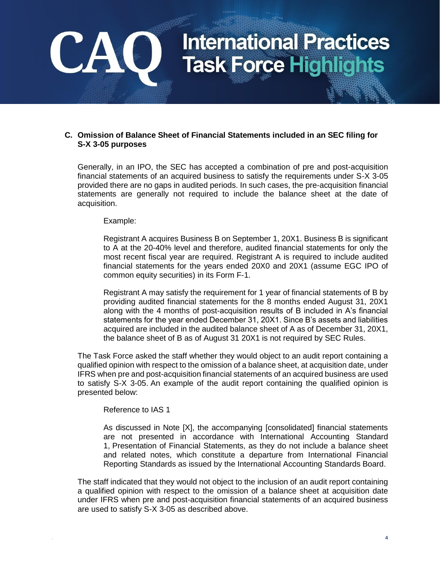#### **C. Omission of Balance Sheet of Financial Statements included in an SEC filing for S-X 3-05 purposes**

Generally, in an IPO, the SEC has accepted a combination of pre and post-acquisition financial statements of an acquired business to satisfy the requirements under S-X 3-05 provided there are no gaps in audited periods. In such cases, the pre-acquisition financial statements are generally not required to include the balance sheet at the date of acquisition.

Example:

CA

Registrant A acquires Business B on September 1, 20X1. Business B is significant to A at the 20-40% level and therefore, audited financial statements for only the most recent fiscal year are required. Registrant A is required to include audited financial statements for the years ended 20X0 and 20X1 (assume EGC IPO of common equity securities) in its Form F-1.

Registrant A may satisfy the requirement for 1 year of financial statements of B by providing audited financial statements for the 8 months ended August 31, 20X1 along with the 4 months of post-acquisition results of B included in A's financial statements for the year ended December 31, 20X1. Since B's assets and liabilities acquired are included in the audited balance sheet of A as of December 31, 20X1, the balance sheet of B as of August 31 20X1 is not required by SEC Rules.

The Task Force asked the staff whether they would object to an audit report containing a qualified opinion with respect to the omission of a balance sheet, at acquisition date, under IFRS when pre and post-acquisition financial statements of an acquired business are used to satisfy S-X 3-05. An example of the audit report containing the qualified opinion is presented below:

Reference to IAS 1

As discussed in Note [X], the accompanying [consolidated] financial statements are not presented in accordance with International Accounting Standard 1, Presentation of Financial Statements, as they do not include a balance sheet and related notes, which constitute a departure from International Financial Reporting Standards as issued by the International Accounting Standards Board.

The staff indicated that they would not object to the inclusion of an audit report containing a qualified opinion with respect to the omission of a balance sheet at acquisition date under IFRS when pre and post-acquisition financial statements of an acquired business are used to satisfy S-X 3-05 as described above.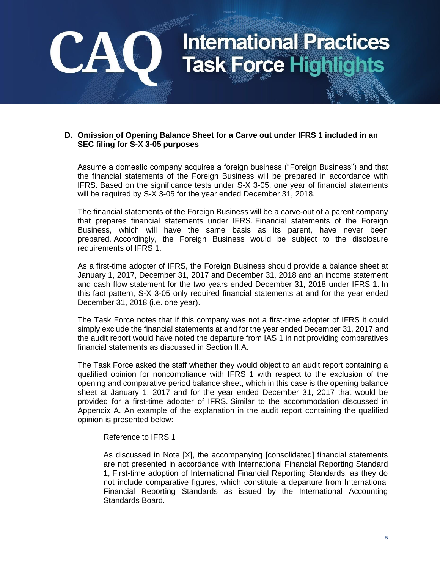#### **D. Omission of Opening Balance Sheet for a Carve out under IFRS 1 included in an SEC filing for S-X 3-05 purposes**

Assume a domestic company acquires a foreign business ("Foreign Business") and that the financial statements of the Foreign Business will be prepared in accordance with IFRS. Based on the significance tests under S-X 3-05, one year of financial statements will be required by S-X 3-05 for the year ended December 31, 2018.

The financial statements of the Foreign Business will be a carve-out of a parent company that prepares financial statements under IFRS. Financial statements of the Foreign Business, which will have the same basis as its parent, have never been prepared. Accordingly, the Foreign Business would be subject to the disclosure requirements of IFRS 1.

As a first-time adopter of IFRS, the Foreign Business should provide a balance sheet at January 1, 2017, December 31, 2017 and December 31, 2018 and an income statement and cash flow statement for the two years ended December 31, 2018 under IFRS 1. In this fact pattern, S-X 3-05 only required financial statements at and for the year ended December 31, 2018 (i.e. one year).

The Task Force notes that if this company was not a first-time adopter of IFRS it could simply exclude the financial statements at and for the year ended December 31, 2017 and the audit report would have noted the departure from IAS 1 in not providing comparatives financial statements as discussed in Section II.A.

The Task Force asked the staff whether they would object to an audit report containing a qualified opinion for noncompliance with IFRS 1 with respect to the exclusion of the opening and comparative period balance sheet, which in this case is the opening balance sheet at January 1, 2017 and for the year ended December 31, 2017 that would be provided for a first-time adopter of IFRS. Similar to the accommodation discussed in Appendix A. An example of the explanation in the audit report containing the qualified opinion is presented below:

#### Reference to IFRS 1

**CA** 

As discussed in Note [X], the accompanying [consolidated] financial statements are not presented in accordance with International Financial Reporting Standard 1, First-time adoption of International Financial Reporting Standards, as they do not include comparative figures, which constitute a departure from International Financial Reporting Standards as issued by the International Accounting Standards Board.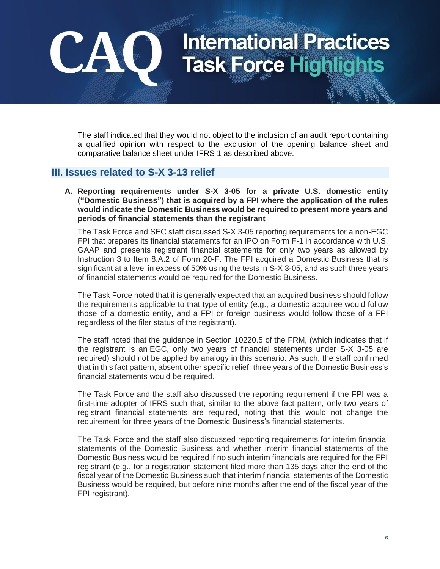The staff indicated that they would not object to the inclusion of an audit report containing a qualified opinion with respect to the exclusion of the opening balance sheet and comparative balance sheet under IFRS 1 as described above.

### **III. Issues related to S-X 3-13 relief**

**CA** 

**A. Reporting requirements under S-X 3-05 for a private U.S. domestic entity ("Domestic Business") that is acquired by a FPI where the application of the rules would indicate the Domestic Business would be required to present more years and periods of financial statements than the registrant**

The Task Force and SEC staff discussed S-X 3-05 reporting requirements for a non-EGC FPI that prepares its financial statements for an IPO on Form F-1 in accordance with U.S. GAAP and presents registrant financial statements for only two years as allowed by Instruction 3 to Item 8.A.2 of Form 20-F. The FPI acquired a Domestic Business that is significant at a level in excess of 50% using the tests in S-X 3-05, and as such three years of financial statements would be required for the Domestic Business.

The Task Force noted that it is generally expected that an acquired business should follow the requirements applicable to that type of entity (e.g., a domestic acquiree would follow those of a domestic entity, and a FPI or foreign business would follow those of a FPI regardless of the filer status of the registrant).

The staff noted that the guidance in Section 10220.5 of the FRM, (which indicates that if the registrant is an EGC, only two years of financial statements under S-X 3-05 are required) should not be applied by analogy in this scenario. As such, the staff confirmed that in this fact pattern, absent other specific relief, three years of the Domestic Business's financial statements would be required.

The Task Force and the staff also discussed the reporting requirement if the FPI was a first-time adopter of IFRS such that, similar to the above fact pattern, only two years of registrant financial statements are required, noting that this would not change the requirement for three years of the Domestic Business's financial statements.

The Task Force and the staff also discussed reporting requirements for interim financial statements of the Domestic Business and whether interim financial statements of the Domestic Business would be required if no such interim financials are required for the FPI registrant (e.g., for a registration statement filed more than 135 days after the end of the fiscal year of the Domestic Business such that interim financial statements of the Domestic Business would be required, but before nine months after the end of the fiscal year of the FPI registrant).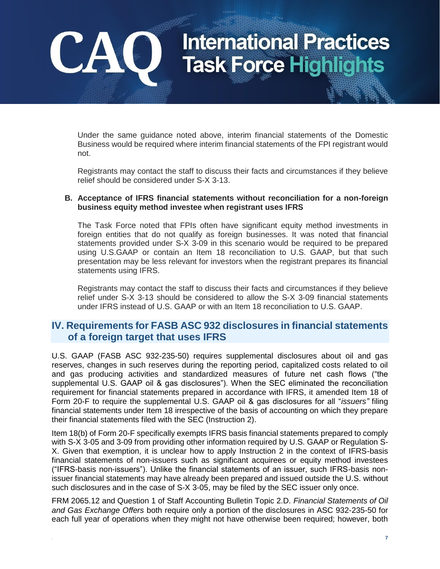Under the same guidance noted above, interim financial statements of the Domestic Business would be required where interim financial statements of the FPI registrant would not.

CA

Registrants may contact the staff to discuss their facts and circumstances if they believe relief should be considered under S-X 3-13.

#### **B. Acceptance of IFRS financial statements without reconciliation for a non-foreign business equity method investee when registrant uses IFRS**

The Task Force noted that FPIs often have significant equity method investments in foreign entities that do not qualify as foreign businesses. It was noted that financial statements provided under S-X 3-09 in this scenario would be required to be prepared using U.S.GAAP or contain an Item 18 reconciliation to U.S. GAAP, but that such presentation may be less relevant for investors when the registrant prepares its financial statements using IFRS.

Registrants may contact the staff to discuss their facts and circumstances if they believe relief under S-X 3-13 should be considered to allow the S-X 3-09 financial statements under IFRS instead of U.S. GAAP or with an Item 18 reconciliation to U.S. GAAP.

### **IV. Requirements for FASB ASC 932 disclosures in financial statements of a foreign target that uses IFRS**

U.S. GAAP (FASB ASC 932-235-50) requires supplemental disclosures about oil and gas reserves, changes in such reserves during the reporting period, capitalized costs related to oil and gas producing activities and standardized measures of future net cash flows ("the supplemental U.S. GAAP oil & gas disclosures"). When the SEC eliminated the reconciliation requirement for financial statements prepared in accordance with IFRS, it amended Item 18 of Form 20-F to require the supplemental U.S. GAAP oil & gas disclosures for all "*issuers"* filing financial statements under Item 18 irrespective of the basis of accounting on which they prepare their financial statements filed with the SEC (Instruction 2).

Item 18(b) of Form 20-F specifically exempts IFRS basis financial statements prepared to comply with S-X 3-05 and 3-09 from providing other information required by U.S. GAAP or Regulation S-X. Given that exemption, it is unclear how to apply Instruction 2 in the context of IFRS-basis financial statements of non-issuers such as significant acquirees or equity method investees ("IFRS-basis non-issuers"). Unlike the financial statements of an issuer, such IFRS-basis nonissuer financial statements may have already been prepared and issued outside the U.S. without such disclosures and in the case of S-X 3-05, may be filed by the SEC issuer only once.

FRM 2065.12 and Question 1 of Staff Accounting Bulletin Topic 2.D. *Financial Statements of Oil and Gas Exchange Offers* both require only a portion of the disclosures in ASC 932-235-50 for each full year of operations when they might not have otherwise been required; however, both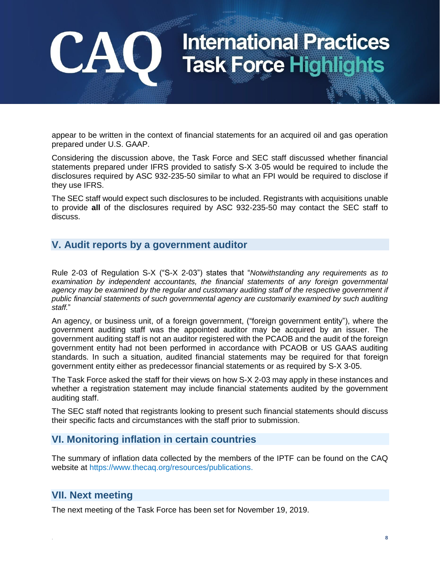appear to be written in the context of financial statements for an acquired oil and gas operation prepared under U.S. GAAP.

Considering the discussion above, the Task Force and SEC staff discussed whether financial statements prepared under IFRS provided to satisfy S-X 3-05 would be required to include the disclosures required by ASC 932-235-50 similar to what an FPI would be required to disclose if they use IFRS.

The SEC staff would expect such disclosures to be included. Registrants with acquisitions unable to provide **all** of the disclosures required by ASC 932-235-50 may contact the SEC staff to discuss.

### **V. Audit reports by a government auditor**

Rule 2-03 of Regulation S-X ("S-X 2-03") states that "*Notwithstanding any requirements as to*  examination by independent accountants, the financial statements of any foreign governmental agency may be examined by the regular and customary auditing staff of the respective government if *public financial statements of such governmental agency are customarily examined by such auditing staff.*"

An agency, or business unit, of a foreign government, ("foreign government entity"), where the government auditing staff was the appointed auditor may be acquired by an issuer. The government auditing staff is not an auditor registered with the PCAOB and the audit of the foreign government entity had not been performed in accordance with PCAOB or US GAAS auditing standards. In such a situation, audited financial statements may be required for that foreign government entity either as predecessor financial statements or as required by S-X 3-05.

The Task Force asked the staff for their views on how S-X 2-03 may apply in these instances and whether a registration statement may include financial statements audited by the government auditing staff.

The SEC staff noted that registrants looking to present such financial statements should discuss their specific facts and circumstances with the staff prior to submission.

### **VI. Monitoring inflation in certain countries**

The summary of inflation data collected by the members of the IPTF can be found on the CAQ website at [https://www.thecaq.org/resources/publications.](https://www.thecaq.org/resources/publications)

### **VII. Next meeting**

**CA** 

The next meeting of the Task Force has been set for November 19, 2019.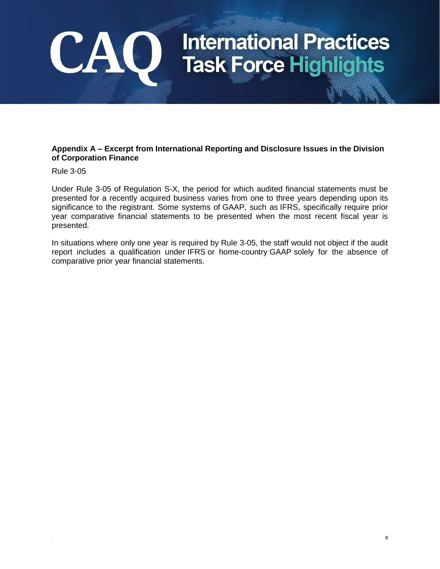#### **Appendix A – Excerpt from International Reporting and Disclosure Issues in the Division of Corporation Finance**

Rule 3-05

CAO

Under Rule 3-05 of Regulation S-X, the period for which audited financial statements must be presented for a recently acquired business varies from one to three years depending upon its significance to the registrant. Some systems of GAAP, such as IFRS, specifically require prior year comparative financial statements to be presented when the most recent fiscal year is presented.

In situations where only one year is required by Rule 3-05, the staff would not object if the audit report includes a qualification under IFRS or home-country GAAP solely for the absence of comparative prior year financial statements.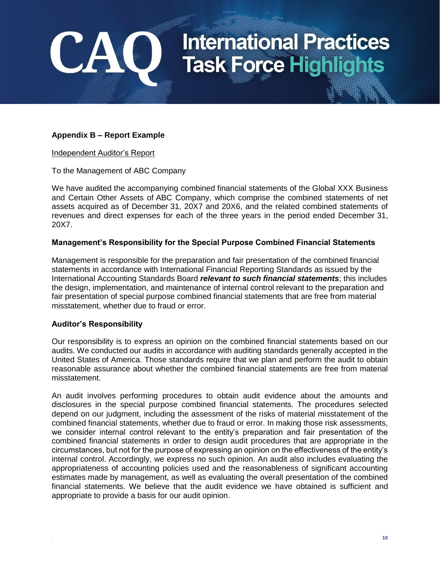

#### **Appendix B – Report Example**

#### Independent Auditor's Report

CA

To the Management of ABC Company

We have audited the accompanying combined financial statements of the Global XXX Business and Certain Other Assets of ABC Company, which comprise the combined statements of net assets acquired as of December 31, 20X7 and 20X6, and the related combined statements of revenues and direct expenses for each of the three years in the period ended December 31, 20X7.

#### **Management's Responsibility for the Special Purpose Combined Financial Statements**

Management is responsible for the preparation and fair presentation of the combined financial statements in accordance with International Financial Reporting Standards as issued by the International Accounting Standards Board *relevant to such financial statements*; this includes the design, implementation, and maintenance of internal control relevant to the preparation and fair presentation of special purpose combined financial statements that are free from material misstatement, whether due to fraud or error.

#### **Auditor's Responsibility**

Our responsibility is to express an opinion on the combined financial statements based on our audits. We conducted our audits in accordance with auditing standards generally accepted in the United States of America. Those standards require that we plan and perform the audit to obtain reasonable assurance about whether the combined financial statements are free from material misstatement.

An audit involves performing procedures to obtain audit evidence about the amounts and disclosures in the special purpose combined financial statements. The procedures selected depend on our judgment, including the assessment of the risks of material misstatement of the combined financial statements, whether due to fraud or error. In making those risk assessments, we consider internal control relevant to the entity's preparation and fair presentation of the combined financial statements in order to design audit procedures that are appropriate in the circumstances, but not for the purpose of expressing an opinion on the effectiveness of the entity's internal control. Accordingly, we express no such opinion. An audit also includes evaluating the appropriateness of accounting policies used and the reasonableness of significant accounting estimates made by management, as well as evaluating the overall presentation of the combined financial statements. We believe that the audit evidence we have obtained is sufficient and appropriate to provide a basis for our audit opinion.